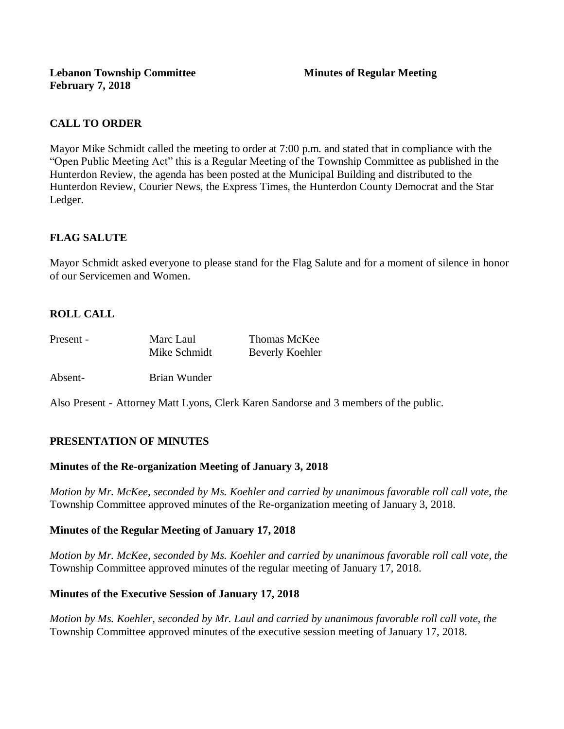## **CALL TO ORDER**

Mayor Mike Schmidt called the meeting to order at 7:00 p.m. and stated that in compliance with the "Open Public Meeting Act" this is a Regular Meeting of the Township Committee as published in the Hunterdon Review, the agenda has been posted at the Municipal Building and distributed to the Hunterdon Review, Courier News, the Express Times, the Hunterdon County Democrat and the Star Ledger.

## **FLAG SALUTE**

Mayor Schmidt asked everyone to please stand for the Flag Salute and for a moment of silence in honor of our Servicemen and Women.

## **ROLL CALL**

| Present - | Marc Laul    | Thomas McKee    |
|-----------|--------------|-----------------|
|           | Mike Schmidt | Beverly Koehler |

Absent- Brian Wunder

Also Present - Attorney Matt Lyons, Clerk Karen Sandorse and 3 members of the public.

## **PRESENTATION OF MINUTES**

#### **Minutes of the Re-organization Meeting of January 3, 2018**

*Motion by Mr. McKee, seconded by Ms. Koehler and carried by unanimous favorable roll call vote, the* Township Committee approved minutes of the Re-organization meeting of January 3, 2018.

#### **Minutes of the Regular Meeting of January 17, 2018**

*Motion by Mr. McKee, seconded by Ms. Koehler and carried by unanimous favorable roll call vote, the* Township Committee approved minutes of the regular meeting of January 17, 2018.

#### **Minutes of the Executive Session of January 17, 2018**

*Motion by Ms. Koehler, seconded by Mr. Laul and carried by unanimous favorable roll call vote, the* Township Committee approved minutes of the executive session meeting of January 17, 2018.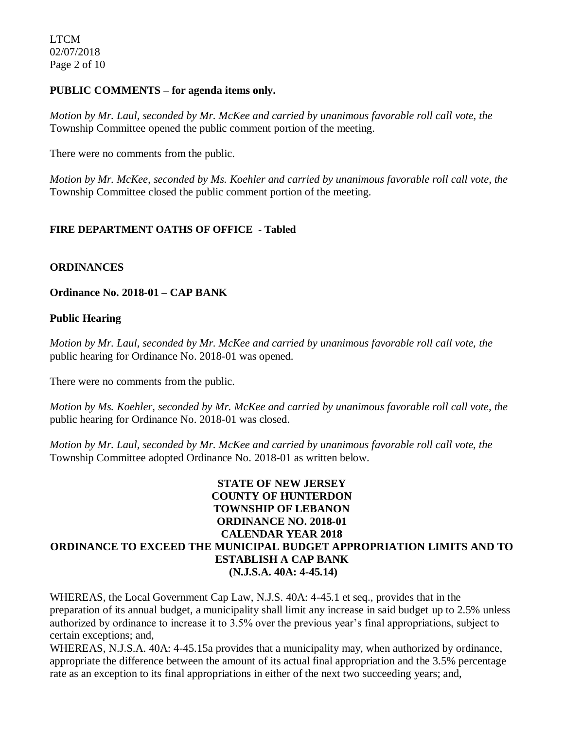LTCM 02/07/2018 Page 2 of 10

#### **PUBLIC COMMENTS – for agenda items only.**

*Motion by Mr. Laul, seconded by Mr. McKee and carried by unanimous favorable roll call vote, the* Township Committee opened the public comment portion of the meeting.

There were no comments from the public.

*Motion by Mr. McKee, seconded by Ms. Koehler and carried by unanimous favorable roll call vote, the* Township Committee closed the public comment portion of the meeting.

#### **FIRE DEPARTMENT OATHS OF OFFICE - Tabled**

#### **ORDINANCES**

**Ordinance No. 2018-01 – CAP BANK** 

#### **Public Hearing**

*Motion by Mr. Laul, seconded by Mr. McKee and carried by unanimous favorable roll call vote, the* public hearing for Ordinance No. 2018-01 was opened.

There were no comments from the public*.*

*Motion by Ms. Koehler, seconded by Mr. McKee and carried by unanimous favorable roll call vote, the* public hearing for Ordinance No. 2018-01 was closed.

*Motion by Mr. Laul, seconded by Mr. McKee and carried by unanimous favorable roll call vote, the* Township Committee adopted Ordinance No. 2018-01 as written below.

### **STATE OF NEW JERSEY COUNTY OF HUNTERDON TOWNSHIP OF LEBANON ORDINANCE NO. 2018-01 CALENDAR YEAR 2018 ORDINANCE TO EXCEED THE MUNICIPAL BUDGET APPROPRIATION LIMITS AND TO ESTABLISH A CAP BANK (N.J.S.A. 40A: 4-45.14)**

WHEREAS, the Local Government Cap Law, N.J.S. 40A: 4-45.1 et seq., provides that in the preparation of its annual budget, a municipality shall limit any increase in said budget up to 2.5% unless authorized by ordinance to increase it to 3.5% over the previous year's final appropriations, subject to certain exceptions; and,

WHEREAS, N.J.S.A. 40A: 4-45.15a provides that a municipality may, when authorized by ordinance, appropriate the difference between the amount of its actual final appropriation and the 3.5% percentage rate as an exception to its final appropriations in either of the next two succeeding years; and,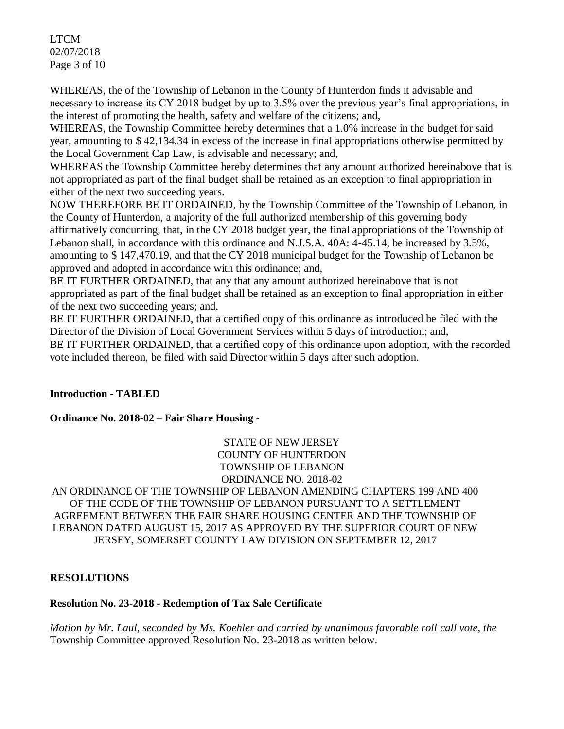LTCM 02/07/2018 Page 3 of 10

WHEREAS, the of the Township of Lebanon in the County of Hunterdon finds it advisable and necessary to increase its CY 2018 budget by up to 3.5% over the previous year's final appropriations, in the interest of promoting the health, safety and welfare of the citizens; and,

WHEREAS, the Township Committee hereby determines that a 1.0% increase in the budget for said year, amounting to \$ 42,134.34 in excess of the increase in final appropriations otherwise permitted by the Local Government Cap Law, is advisable and necessary; and,

WHEREAS the Township Committee hereby determines that any amount authorized hereinabove that is not appropriated as part of the final budget shall be retained as an exception to final appropriation in either of the next two succeeding years.

NOW THEREFORE BE IT ORDAINED, by the Township Committee of the Township of Lebanon, in the County of Hunterdon, a majority of the full authorized membership of this governing body affirmatively concurring, that, in the CY 2018 budget year, the final appropriations of the Township of Lebanon shall, in accordance with this ordinance and N.J.S.A. 40A: 4-45.14, be increased by 3.5%, amounting to \$ 147,470.19, and that the CY 2018 municipal budget for the Township of Lebanon be approved and adopted in accordance with this ordinance; and,

BE IT FURTHER ORDAINED, that any that any amount authorized hereinabove that is not appropriated as part of the final budget shall be retained as an exception to final appropriation in either of the next two succeeding years; and,

BE IT FURTHER ORDAINED, that a certified copy of this ordinance as introduced be filed with the Director of the Division of Local Government Services within 5 days of introduction; and, BE IT FURTHER ORDAINED, that a certified copy of this ordinance upon adoption, with the recorded vote included thereon, be filed with said Director within 5 days after such adoption.

## **Introduction - TABLED**

## **Ordinance No. 2018-02 – Fair Share Housing -**

STATE OF NEW JERSEY COUNTY OF HUNTERDON TOWNSHIP OF LEBANON ORDINANCE NO. 2018-02

AN ORDINANCE OF THE TOWNSHIP OF LEBANON AMENDING CHAPTERS 199 AND 400 OF THE CODE OF THE TOWNSHIP OF LEBANON PURSUANT TO A SETTLEMENT AGREEMENT BETWEEN THE FAIR SHARE HOUSING CENTER AND THE TOWNSHIP OF LEBANON DATED AUGUST 15, 2017 AS APPROVED BY THE SUPERIOR COURT OF NEW JERSEY, SOMERSET COUNTY LAW DIVISION ON SEPTEMBER 12, 2017

#### **RESOLUTIONS**

#### **Resolution No. 23-2018 - Redemption of Tax Sale Certificate**

*Motion by Mr. Laul, seconded by Ms. Koehler and carried by unanimous favorable roll call vote, the* Township Committee approved Resolution No. 23-2018 as written below.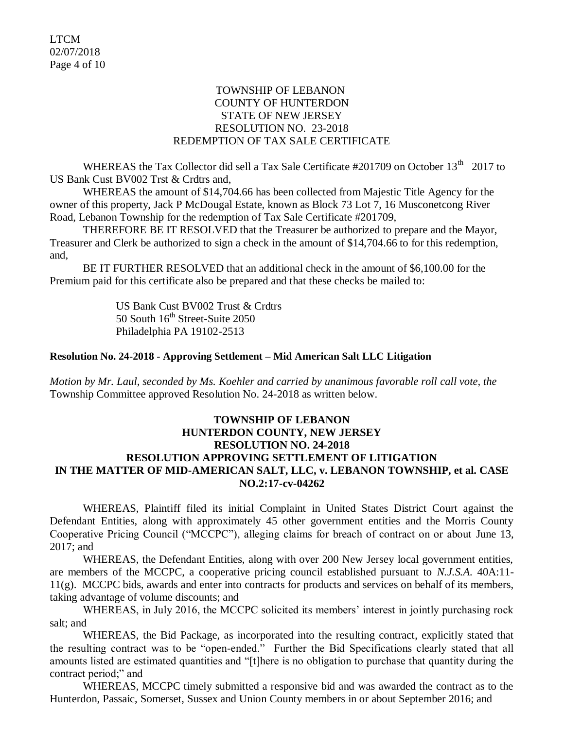### TOWNSHIP OF LEBANON COUNTY OF HUNTERDON STATE OF NEW JERSEY RESOLUTION NO. 23-2018 REDEMPTION OF TAX SALE CERTIFICATE

WHEREAS the Tax Collector did sell a Tax Sale Certificate  $\#201709$  on October  $13<sup>th</sup>$  2017 to US Bank Cust BV002 Trst & Crdtrs and,

WHEREAS the amount of \$14,704.66 has been collected from Majestic Title Agency for the owner of this property, Jack P McDougal Estate, known as Block 73 Lot 7, 16 Musconetcong River Road, Lebanon Township for the redemption of Tax Sale Certificate #201709,

THEREFORE BE IT RESOLVED that the Treasurer be authorized to prepare and the Mayor, Treasurer and Clerk be authorized to sign a check in the amount of \$14,704.66 to for this redemption, and,

BE IT FURTHER RESOLVED that an additional check in the amount of \$6,100.00 for the Premium paid for this certificate also be prepared and that these checks be mailed to:

> US Bank Cust BV002 Trust & Crdtrs 50 South  $16^{th}$  Street-Suite 2050 Philadelphia PA 19102-2513

#### **Resolution No. 24-2018 - Approving Settlement – Mid American Salt LLC Litigation**

*Motion by Mr. Laul, seconded by Ms. Koehler and carried by unanimous favorable roll call vote, the* Township Committee approved Resolution No. 24-2018 as written below.

### **TOWNSHIP OF LEBANON HUNTERDON COUNTY, NEW JERSEY RESOLUTION NO. 24-2018 RESOLUTION APPROVING SETTLEMENT OF LITIGATION IN THE MATTER OF MID-AMERICAN SALT, LLC, v. LEBANON TOWNSHIP, et al. CASE NO.2:17-cv-04262**

WHEREAS, Plaintiff filed its initial Complaint in United States District Court against the Defendant Entities, along with approximately 45 other government entities and the Morris County Cooperative Pricing Council ("MCCPC"), alleging claims for breach of contract on or about June 13, 2017; and

WHEREAS, the Defendant Entities, along with over 200 New Jersey local government entities, are members of the MCCPC, a cooperative pricing council established pursuant to *N.J.S.A.* 40A:11- 11(g). MCCPC bids, awards and enter into contracts for products and services on behalf of its members, taking advantage of volume discounts; and

WHEREAS, in July 2016, the MCCPC solicited its members' interest in jointly purchasing rock salt; and

WHEREAS, the Bid Package, as incorporated into the resulting contract, explicitly stated that the resulting contract was to be "open-ended." Further the Bid Specifications clearly stated that all amounts listed are estimated quantities and "[t]here is no obligation to purchase that quantity during the contract period;" and

WHEREAS, MCCPC timely submitted a responsive bid and was awarded the contract as to the Hunterdon, Passaic, Somerset, Sussex and Union County members in or about September 2016; and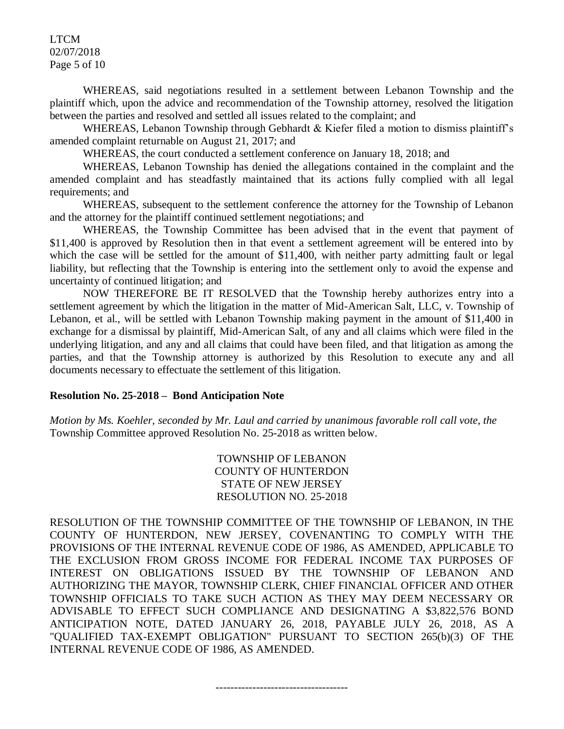#### LTCM 02/07/2018 Page 5 of 10

WHEREAS, said negotiations resulted in a settlement between Lebanon Township and the plaintiff which, upon the advice and recommendation of the Township attorney, resolved the litigation between the parties and resolved and settled all issues related to the complaint; and

WHEREAS, Lebanon Township through Gebhardt & Kiefer filed a motion to dismiss plaintiff's amended complaint returnable on August 21, 2017; and

WHEREAS, the court conducted a settlement conference on January 18, 2018; and

WHEREAS, Lebanon Township has denied the allegations contained in the complaint and the amended complaint and has steadfastly maintained that its actions fully complied with all legal requirements; and

WHEREAS, subsequent to the settlement conference the attorney for the Township of Lebanon and the attorney for the plaintiff continued settlement negotiations; and

WHEREAS, the Township Committee has been advised that in the event that payment of \$11,400 is approved by Resolution then in that event a settlement agreement will be entered into by which the case will be settled for the amount of \$11,400, with neither party admitting fault or legal liability, but reflecting that the Township is entering into the settlement only to avoid the expense and uncertainty of continued litigation; and

NOW THEREFORE BE IT RESOLVED that the Township hereby authorizes entry into a settlement agreement by which the litigation in the matter of Mid-American Salt, LLC, v. Township of Lebanon, et al., will be settled with Lebanon Township making payment in the amount of \$11,400 in exchange for a dismissal by plaintiff, Mid-American Salt, of any and all claims which were filed in the underlying litigation, and any and all claims that could have been filed, and that litigation as among the parties, and that the Township attorney is authorized by this Resolution to execute any and all documents necessary to effectuate the settlement of this litigation.

#### **Resolution No. 25-2018 – Bond Anticipation Note**

*Motion by Ms. Koehler, seconded by Mr. Laul and carried by unanimous favorable roll call vote, the* Township Committee approved Resolution No. 25-2018 as written below.

> TOWNSHIP OF LEBANON COUNTY OF HUNTERDON STATE OF NEW JERSEY RESOLUTION NO. 25-2018

RESOLUTION OF THE TOWNSHIP COMMITTEE OF THE TOWNSHIP OF LEBANON, IN THE COUNTY OF HUNTERDON, NEW JERSEY, COVENANTING TO COMPLY WITH THE PROVISIONS OF THE INTERNAL REVENUE CODE OF 1986, AS AMENDED, APPLICABLE TO THE EXCLUSION FROM GROSS INCOME FOR FEDERAL INCOME TAX PURPOSES OF INTEREST ON OBLIGATIONS ISSUED BY THE TOWNSHIP OF LEBANON AND AUTHORIZING THE MAYOR, TOWNSHIP CLERK, CHIEF FINANCIAL OFFICER AND OTHER TOWNSHIP OFFICIALS TO TAKE SUCH ACTION AS THEY MAY DEEM NECESSARY OR ADVISABLE TO EFFECT SUCH COMPLIANCE AND DESIGNATING A \$3,822,576 BOND ANTICIPATION NOTE, DATED JANUARY 26, 2018, PAYABLE JULY 26, 2018, AS A "QUALIFIED TAX-EXEMPT OBLIGATION" PURSUANT TO SECTION 265(b)(3) OF THE INTERNAL REVENUE CODE OF 1986, AS AMENDED.

------------------------------------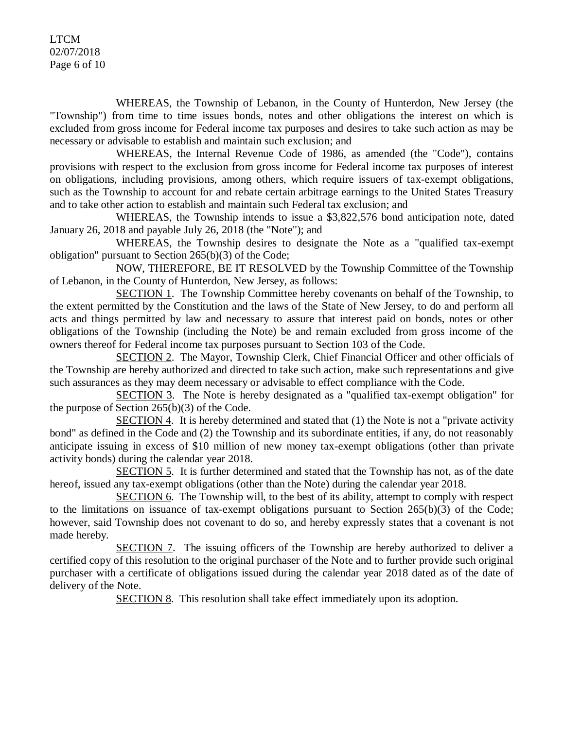LTCM 02/07/2018 Page 6 of 10

WHEREAS, the Township of Lebanon, in the County of Hunterdon, New Jersey (the "Township") from time to time issues bonds, notes and other obligations the interest on which is excluded from gross income for Federal income tax purposes and desires to take such action as may be necessary or advisable to establish and maintain such exclusion; and

WHEREAS, the Internal Revenue Code of 1986, as amended (the "Code"), contains provisions with respect to the exclusion from gross income for Federal income tax purposes of interest on obligations, including provisions, among others, which require issuers of tax-exempt obligations, such as the Township to account for and rebate certain arbitrage earnings to the United States Treasury and to take other action to establish and maintain such Federal tax exclusion; and

WHEREAS, the Township intends to issue a \$3,822,576 bond anticipation note, dated January 26, 2018 and payable July 26, 2018 (the "Note"); and

WHEREAS, the Township desires to designate the Note as a "qualified tax-exempt obligation" pursuant to Section 265(b)(3) of the Code;

NOW, THEREFORE, BE IT RESOLVED by the Township Committee of the Township of Lebanon, in the County of Hunterdon, New Jersey, as follows:

SECTION 1. The Township Committee hereby covenants on behalf of the Township, to the extent permitted by the Constitution and the laws of the State of New Jersey, to do and perform all acts and things permitted by law and necessary to assure that interest paid on bonds, notes or other obligations of the Township (including the Note) be and remain excluded from gross income of the owners thereof for Federal income tax purposes pursuant to Section 103 of the Code.

SECTION 2. The Mayor, Township Clerk, Chief Financial Officer and other officials of the Township are hereby authorized and directed to take such action, make such representations and give such assurances as they may deem necessary or advisable to effect compliance with the Code.

SECTION 3. The Note is hereby designated as a "qualified tax-exempt obligation" for the purpose of Section 265(b)(3) of the Code.

SECTION 4. It is hereby determined and stated that (1) the Note is not a "private activity bond" as defined in the Code and (2) the Township and its subordinate entities, if any, do not reasonably anticipate issuing in excess of \$10 million of new money tax-exempt obligations (other than private activity bonds) during the calendar year 2018.

SECTION 5. It is further determined and stated that the Township has not, as of the date hereof, issued any tax-exempt obligations (other than the Note) during the calendar year 2018.

SECTION 6. The Township will, to the best of its ability, attempt to comply with respect to the limitations on issuance of tax-exempt obligations pursuant to Section 265(b)(3) of the Code; however, said Township does not covenant to do so, and hereby expressly states that a covenant is not made hereby.

SECTION 7. The issuing officers of the Township are hereby authorized to deliver a certified copy of this resolution to the original purchaser of the Note and to further provide such original purchaser with a certificate of obligations issued during the calendar year 2018 dated as of the date of delivery of the Note.

SECTION 8. This resolution shall take effect immediately upon its adoption.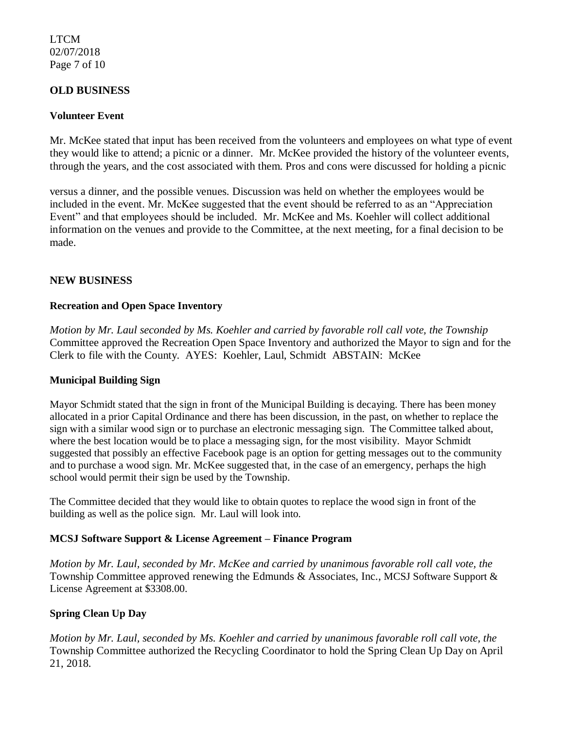### LTCM 02/07/2018 Page 7 of 10

### **OLD BUSINESS**

#### **Volunteer Event**

Mr. McKee stated that input has been received from the volunteers and employees on what type of event they would like to attend; a picnic or a dinner. Mr. McKee provided the history of the volunteer events, through the years, and the cost associated with them. Pros and cons were discussed for holding a picnic

versus a dinner, and the possible venues. Discussion was held on whether the employees would be included in the event. Mr. McKee suggested that the event should be referred to as an "Appreciation Event" and that employees should be included. Mr. McKee and Ms. Koehler will collect additional information on the venues and provide to the Committee, at the next meeting, for a final decision to be made.

### **NEW BUSINESS**

#### **Recreation and Open Space Inventory**

*Motion by Mr. Laul seconded by Ms. Koehler and carried by favorable roll call vote, the Township* Committee approved the Recreation Open Space Inventory and authorized the Mayor to sign and for the Clerk to file with the County. AYES: Koehler, Laul, Schmidt ABSTAIN: McKee

#### **Municipal Building Sign**

Mayor Schmidt stated that the sign in front of the Municipal Building is decaying. There has been money allocated in a prior Capital Ordinance and there has been discussion, in the past, on whether to replace the sign with a similar wood sign or to purchase an electronic messaging sign. The Committee talked about, where the best location would be to place a messaging sign, for the most visibility. Mayor Schmidt suggested that possibly an effective Facebook page is an option for getting messages out to the community and to purchase a wood sign. Mr. McKee suggested that, in the case of an emergency, perhaps the high school would permit their sign be used by the Township.

The Committee decided that they would like to obtain quotes to replace the wood sign in front of the building as well as the police sign. Mr. Laul will look into.

#### **MCSJ Software Support & License Agreement – Finance Program**

*Motion by Mr. Laul, seconded by Mr. McKee and carried by unanimous favorable roll call vote, the* Township Committee approved renewing the Edmunds & Associates, Inc., MCSJ Software Support & License Agreement at \$3308.00.

## **Spring Clean Up Day**

*Motion by Mr. Laul, seconded by Ms. Koehler and carried by unanimous favorable roll call vote, the* Township Committee authorized the Recycling Coordinator to hold the Spring Clean Up Day on April 21, 2018.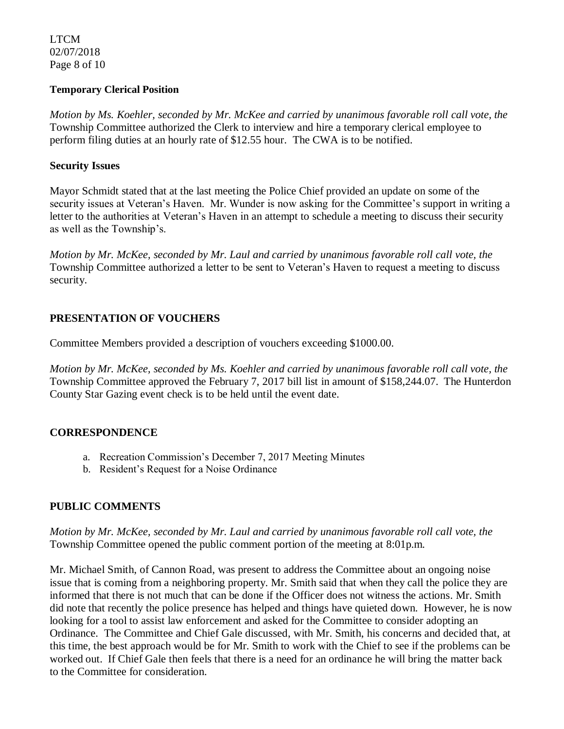LTCM 02/07/2018 Page 8 of 10

#### **Temporary Clerical Position**

*Motion by Ms. Koehler, seconded by Mr. McKee and carried by unanimous favorable roll call vote, the* Township Committee authorized the Clerk to interview and hire a temporary clerical employee to perform filing duties at an hourly rate of \$12.55 hour. The CWA is to be notified.

### **Security Issues**

Mayor Schmidt stated that at the last meeting the Police Chief provided an update on some of the security issues at Veteran's Haven. Mr. Wunder is now asking for the Committee's support in writing a letter to the authorities at Veteran's Haven in an attempt to schedule a meeting to discuss their security as well as the Township's.

*Motion by Mr. McKee, seconded by Mr. Laul and carried by unanimous favorable roll call vote, the*  Township Committee authorized a letter to be sent to Veteran's Haven to request a meeting to discuss security.

## **PRESENTATION OF VOUCHERS**

Committee Members provided a description of vouchers exceeding \$1000.00.

*Motion by Mr. McKee, seconded by Ms. Koehler and carried by unanimous favorable roll call vote, the* Township Committee approved the February 7, 2017 bill list in amount of \$158,244.07. The Hunterdon County Star Gazing event check is to be held until the event date.

## **CORRESPONDENCE**

- a. Recreation Commission's December 7, 2017 Meeting Minutes
- b. Resident's Request for a Noise Ordinance

# **PUBLIC COMMENTS**

*Motion by Mr. McKee, seconded by Mr. Laul and carried by unanimous favorable roll call vote, the* Township Committee opened the public comment portion of the meeting at 8:01p.m.

Mr. Michael Smith, of Cannon Road, was present to address the Committee about an ongoing noise issue that is coming from a neighboring property. Mr. Smith said that when they call the police they are informed that there is not much that can be done if the Officer does not witness the actions. Mr. Smith did note that recently the police presence has helped and things have quieted down. However, he is now looking for a tool to assist law enforcement and asked for the Committee to consider adopting an Ordinance. The Committee and Chief Gale discussed, with Mr. Smith, his concerns and decided that, at this time, the best approach would be for Mr. Smith to work with the Chief to see if the problems can be worked out. If Chief Gale then feels that there is a need for an ordinance he will bring the matter back to the Committee for consideration.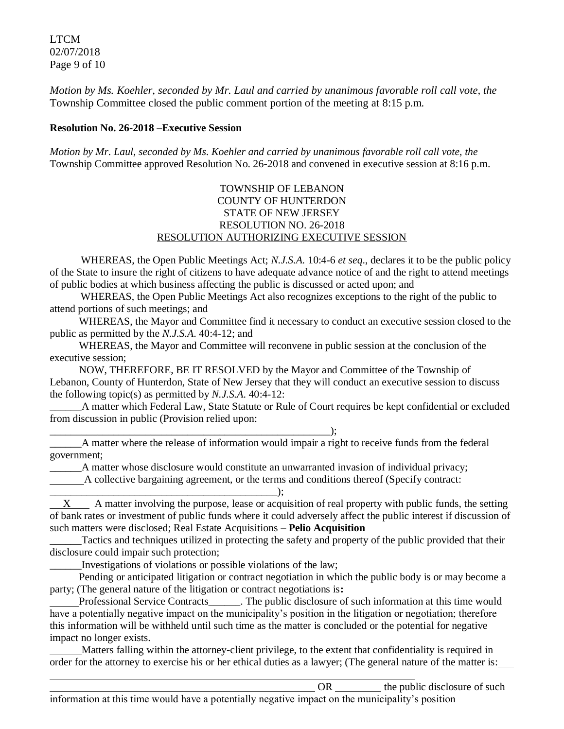LTCM 02/07/2018 Page 9 of 10

*Motion by Ms. Koehler, seconded by Mr. Laul and carried by unanimous favorable roll call vote, the* Township Committee closed the public comment portion of the meeting at 8:15 p.m.

#### **Resolution No. 26-2018 –Executive Session**

*Motion by Mr. Laul, seconded by Ms. Koehler and carried by unanimous favorable roll call vote, the* Township Committee approved Resolution No. 26-2018 and convened in executive session at 8:16 p.m.

### TOWNSHIP OF LEBANON COUNTY OF HUNTERDON STATE OF NEW JERSEY RESOLUTION NO. 26-2018 RESOLUTION AUTHORIZING EXECUTIVE SESSION

WHEREAS, the Open Public Meetings Act; *N.J.S.A.* 10:4-6 *et seq*., declares it to be the public policy of the State to insure the right of citizens to have adequate advance notice of and the right to attend meetings of public bodies at which business affecting the public is discussed or acted upon; and

WHEREAS, the Open Public Meetings Act also recognizes exceptions to the right of the public to attend portions of such meetings; and

 WHEREAS, the Mayor and Committee find it necessary to conduct an executive session closed to the public as permitted by the *N.J.S.A*. 40:4-12; and

 WHEREAS, the Mayor and Committee will reconvene in public session at the conclusion of the executive session;

 NOW, THEREFORE, BE IT RESOLVED by the Mayor and Committee of the Township of Lebanon, County of Hunterdon, State of New Jersey that they will conduct an executive session to discuss the following topic(s) as permitted by *N.J.S.A*. 40:4-12:

\_\_\_\_\_\_A matter which Federal Law, State Statute or Rule of Court requires be kept confidential or excluded from discussion in public (Provision relied upon:

\_\_\_\_\_\_\_\_\_\_\_\_\_\_\_\_\_\_\_\_\_\_\_\_\_\_\_\_\_\_\_\_\_\_\_\_\_\_\_\_\_\_\_\_\_\_\_\_\_\_\_\_\_);

\_\_\_\_\_\_A matter where the release of information would impair a right to receive funds from the federal government;

\_\_\_\_\_\_A matter whose disclosure would constitute an unwarranted invasion of individual privacy;

A collective bargaining agreement, or the terms and conditions thereof (Specify contract:

\_\_\_\_\_\_\_\_\_\_\_\_\_\_\_\_\_\_\_\_\_\_\_\_\_\_\_\_\_\_\_\_\_\_\_\_\_\_\_\_\_\_\_); X A matter involving the purpose, lease or acquisition of real property with public funds, the setting of bank rates or investment of public funds where it could adversely affect the public interest if discussion of such matters were disclosed; Real Estate Acquisitions – **Pelio Acquisition**

\_\_\_\_\_\_Tactics and techniques utilized in protecting the safety and property of the public provided that their disclosure could impair such protection;

\_\_\_\_\_\_Investigations of violations or possible violations of the law;

 Pending or anticipated litigation or contract negotiation in which the public body is or may become a party; (The general nature of the litigation or contract negotiations is**:**

 Professional Service Contracts\_\_\_\_\_\_. The public disclosure of such information at this time would have a potentially negative impact on the municipality's position in the litigation or negotiation; therefore this information will be withheld until such time as the matter is concluded or the potential for negative impact no longer exists.

 Matters falling within the attorney-client privilege, to the extent that confidentiality is required in order for the attorney to exercise his or her ethical duties as a lawyer; (The general nature of the matter is: